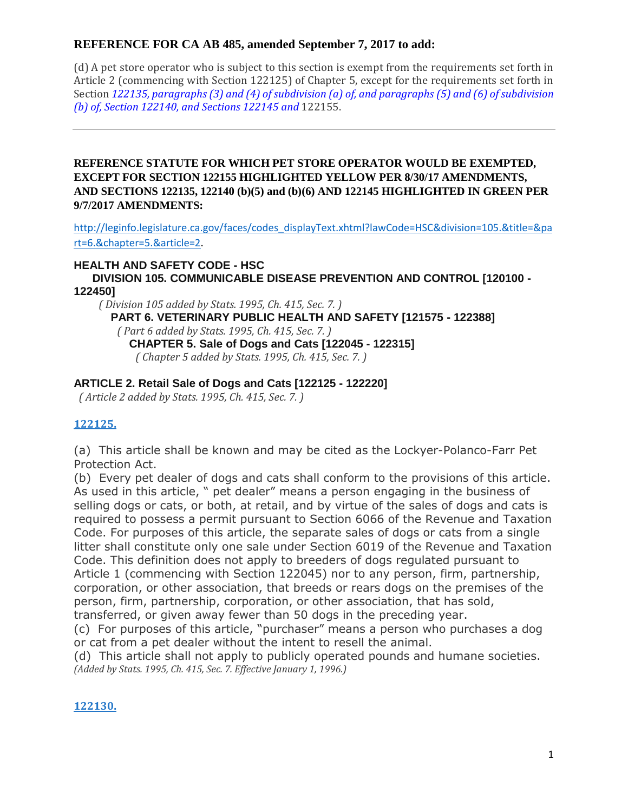(d) A pet store operator who is subject to this section is exempt from the requirements set forth in Article 2 (commencing with Section 122125) of Chapter 5, except for the requirements set forth in Section *122135, paragraphs (3) and (4) of subdivision (a) of, and paragraphs (5) and (6) of subdivision (b) of, Section 122140, and Sections 122145 and* 122155.

### **REFERENCE STATUTE FOR WHICH PET STORE OPERATOR WOULD BE EXEMPTED, EXCEPT FOR SECTION 122155 HIGHLIGHTED YELLOW PER 8/30/17 AMENDMENTS, AND SECTIONS 122135, 122140 (b)(5) and (b)(6) AND 122145 HIGHLIGHTED IN GREEN PER 9/7/2017 AMENDMENTS:**

[http://leginfo.legislature.ca.gov/faces/codes\\_displayText.xhtml?lawCode=HSC&division=105.&title=&pa](http://leginfo.legislature.ca.gov/faces/codes_displayText.xhtml?lawCode=HSC&division=105.&title=&part=6.&chapter=5.&article=2) [rt=6.&chapter=5.&article=2.](http://leginfo.legislature.ca.gov/faces/codes_displayText.xhtml?lawCode=HSC&division=105.&title=&part=6.&chapter=5.&article=2)

### **HEALTH AND SAFETY CODE - HSC**

**DIVISION 105. COMMUNICABLE DISEASE PREVENTION AND CONTROL [120100 - 122450]**

*( Division 105 added by Stats. 1995, Ch. 415, Sec. 7. )*

**PART 6. VETERINARY PUBLIC HEALTH AND SAFETY [121575 - 122388]** *( Part 6 added by Stats. 1995, Ch. 415, Sec. 7. )* **CHAPTER 5. Sale of Dogs and Cats [122045 - 122315]** *( Chapter 5 added by Stats. 1995, Ch. 415, Sec. 7. )*

# **ARTICLE 2. Retail Sale of Dogs and Cats [122125 - 122220]**

*( Article 2 added by Stats. 1995, Ch. 415, Sec. 7. )*

### **[122125.](javascript:submitCodesValues()**

(a) This article shall be known and may be cited as the Lockyer-Polanco-Farr Pet Protection Act.

(b) Every pet dealer of dogs and cats shall conform to the provisions of this article. As used in this article, " pet dealer" means a person engaging in the business of selling dogs or cats, or both, at retail, and by virtue of the sales of dogs and cats is required to possess a permit pursuant to Section 6066 of the Revenue and Taxation Code. For purposes of this article, the separate sales of dogs or cats from a single litter shall constitute only one sale under Section 6019 of the Revenue and Taxation Code. This definition does not apply to breeders of dogs regulated pursuant to Article 1 (commencing with Section 122045) nor to any person, firm, partnership, corporation, or other association, that breeds or rears dogs on the premises of the person, firm, partnership, corporation, or other association, that has sold, transferred, or given away fewer than 50 dogs in the preceding year.

(c) For purposes of this article, "purchaser" means a person who purchases a dog or cat from a pet dealer without the intent to resell the animal.

(d) This article shall not apply to publicly operated pounds and humane societies. *(Added by Stats. 1995, Ch. 415, Sec. 7. Effective January 1, 1996.)*

#### **[122130.](javascript:submitCodesValues()**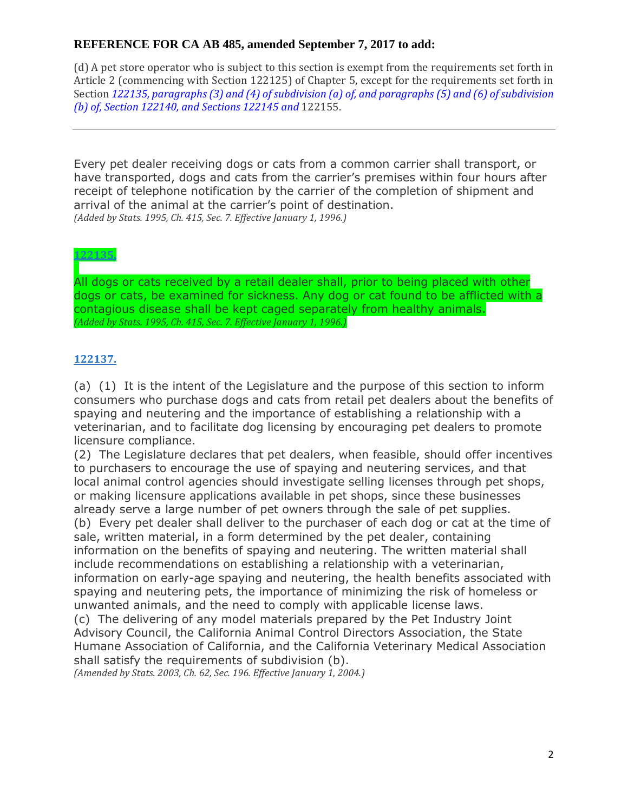(d) A pet store operator who is subject to this section is exempt from the requirements set forth in Article 2 (commencing with Section 122125) of Chapter 5, except for the requirements set forth in Section *122135, paragraphs (3) and (4) of subdivision (a) of, and paragraphs (5) and (6) of subdivision (b) of, Section 122140, and Sections 122145 and* 122155.

Every pet dealer receiving dogs or cats from a common carrier shall transport, or have transported, dogs and cats from the carrier's premises within four hours after receipt of telephone notification by the carrier of the completion of shipment and arrival of the animal at the carrier's point of destination. *(Added by Stats. 1995, Ch. 415, Sec. 7. Effective January 1, 1996.)*

### **[122135.](javascript:submitCodesValues()**

All dogs or cats received by a retail dealer shall, prior to being placed with other dogs or cats, be examined for sickness. Any dog or cat found to be afflicted with a contagious disease shall be kept caged separately from healthy animals. *(Added by Stats. 1995, Ch. 415, Sec. 7. Effective January 1, 1996.)*

### **[122137.](javascript:submitCodesValues()**

(a) (1) It is the intent of the Legislature and the purpose of this section to inform consumers who purchase dogs and cats from retail pet dealers about the benefits of spaying and neutering and the importance of establishing a relationship with a veterinarian, and to facilitate dog licensing by encouraging pet dealers to promote licensure compliance.

(2) The Legislature declares that pet dealers, when feasible, should offer incentives to purchasers to encourage the use of spaying and neutering services, and that local animal control agencies should investigate selling licenses through pet shops, or making licensure applications available in pet shops, since these businesses already serve a large number of pet owners through the sale of pet supplies. (b) Every pet dealer shall deliver to the purchaser of each dog or cat at the time of sale, written material, in a form determined by the pet dealer, containing information on the benefits of spaying and neutering. The written material shall include recommendations on establishing a relationship with a veterinarian, information on early-age spaying and neutering, the health benefits associated with spaying and neutering pets, the importance of minimizing the risk of homeless or unwanted animals, and the need to comply with applicable license laws. (c) The delivering of any model materials prepared by the Pet Industry Joint Advisory Council, the California Animal Control Directors Association, the State Humane Association of California, and the California Veterinary Medical Association shall satisfy the requirements of subdivision (b).

*(Amended by Stats. 2003, Ch. 62, Sec. 196. Effective January 1, 2004.)*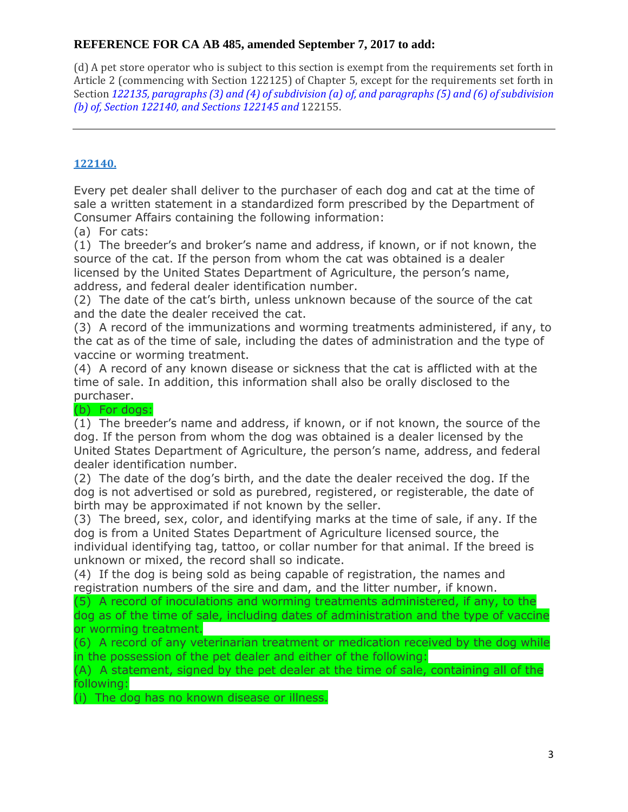(d) A pet store operator who is subject to this section is exempt from the requirements set forth in Article 2 (commencing with Section 122125) of Chapter 5, except for the requirements set forth in Section *122135, paragraphs (3) and (4) of subdivision (a) of, and paragraphs (5) and (6) of subdivision (b) of, Section 122140, and Sections 122145 and* 122155.

# **[122140.](javascript:submitCodesValues()**

Every pet dealer shall deliver to the purchaser of each dog and cat at the time of sale a written statement in a standardized form prescribed by the Department of Consumer Affairs containing the following information:

(a) For cats:

(1) The breeder's and broker's name and address, if known, or if not known, the source of the cat. If the person from whom the cat was obtained is a dealer licensed by the United States Department of Agriculture, the person's name, address, and federal dealer identification number.

(2) The date of the cat's birth, unless unknown because of the source of the cat and the date the dealer received the cat.

(3) A record of the immunizations and worming treatments administered, if any, to the cat as of the time of sale, including the dates of administration and the type of vaccine or worming treatment.

(4) A record of any known disease or sickness that the cat is afflicted with at the time of sale. In addition, this information shall also be orally disclosed to the purchaser.

## (b) For dogs:

(1) The breeder's name and address, if known, or if not known, the source of the dog. If the person from whom the dog was obtained is a dealer licensed by the United States Department of Agriculture, the person's name, address, and federal dealer identification number.

(2) The date of the dog's birth, and the date the dealer received the dog. If the dog is not advertised or sold as purebred, registered, or registerable, the date of birth may be approximated if not known by the seller.

(3) The breed, sex, color, and identifying marks at the time of sale, if any. If the dog is from a United States Department of Agriculture licensed source, the individual identifying tag, tattoo, or collar number for that animal. If the breed is unknown or mixed, the record shall so indicate.

(4) If the dog is being sold as being capable of registration, the names and registration numbers of the sire and dam, and the litter number, if known.

(5) A record of inoculations and worming treatments administered, if any, to the dog as of the time of sale, including dates of administration and the type of vaccine or worming treatment.

(6) A record of any veterinarian treatment or medication received by the dog while in the possession of the pet dealer and either of the following:

(A) A statement, signed by the pet dealer at the time of sale, containing all of the following:

(i) The dog has no known disease or illness.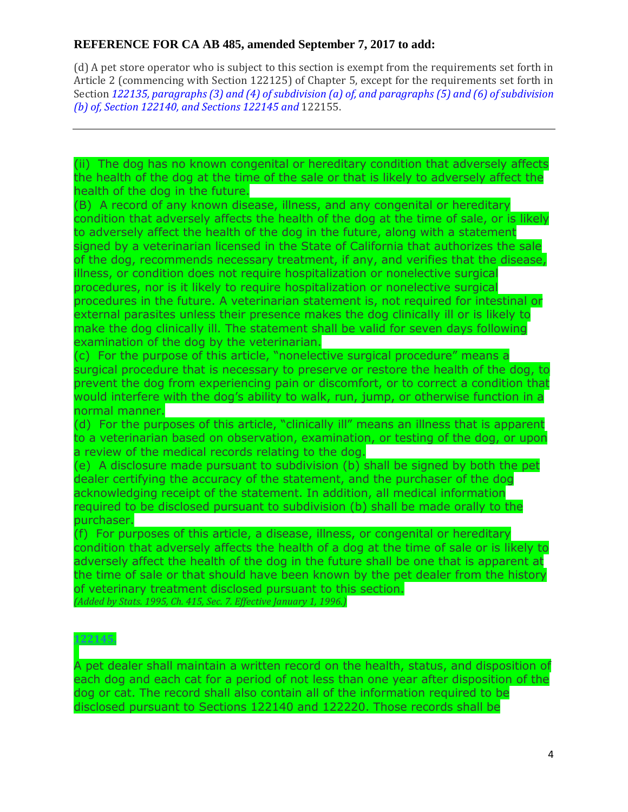(d) A pet store operator who is subject to this section is exempt from the requirements set forth in Article 2 (commencing with Section 122125) of Chapter 5, except for the requirements set forth in Section *122135, paragraphs (3) and (4) of subdivision (a) of, and paragraphs (5) and (6) of subdivision (b) of, Section 122140, and Sections 122145 and* 122155.

| (ii) The dog has no known congenital or hereditary condition that adversely affects      |
|------------------------------------------------------------------------------------------|
| the health of the dog at the time of the sale or that is likely to adversely affect the  |
| health of the dog in the future.                                                         |
| (B) A record of any known disease, illness, and any congenital or hereditary             |
| condition that adversely affects the health of the dog at the time of sale, or is likely |
| to adversely affect the health of the dog in the future, along with a statement          |
| signed by a veterinarian licensed in the State of California that authorizes the sale    |
| of the dog, recommends necessary treatment, if any, and verifies that the disease,       |
| illness, or condition does not require hospitalization or nonelective surgical           |
| procedures, nor is it likely to require hospitalization or nonelective surgical          |
| procedures in the future. A veterinarian statement is, not required for intestinal or    |
| external parasites unless their presence makes the dog clinically ill or is likely to    |
| make the dog clinically ill. The statement shall be valid for seven days following       |
| examination of the dog by the veterinarian.                                              |
| (c) For the purpose of this article, "nonelective surgical procedure" means a            |
| surgical procedure that is necessary to preserve or restore the health of the dog, to    |
| prevent the dog from experiencing pain or discomfort, or to correct a condition that     |
| would interfere with the dog's ability to walk, run, jump, or otherwise function in a    |
| normal manner.                                                                           |
| (d) For the purposes of this article, "clinically ill" means an illness that is apparent |
| to a veterinarian based on observation, examination, or testing of the dog, or upon      |
| a review of the medical records relating to the dog.                                     |
| (e) A disclosure made pursuant to subdivision (b) shall be signed by both the pet        |
| dealer certifying the accuracy of the statement, and the purchaser of the dog            |
| acknowledging receipt of the statement. In addition, all medical information             |
| required to be disclosed pursuant to subdivision (b) shall be made orally to the         |
| purchaser.                                                                               |
| (f) For purposes of this article, a disease, illness, or congenital or hereditary        |
| condition that adversely affects the health of a dog at the time of sale or is likely to |
| adversely affect the health of the dog in the future shall be one that is apparent at    |
| the time of sale or that should have been known by the pet dealer from the history       |
| of veterinary treatment disclosed pursuant to this section.                              |
| (Added by Stats. 1995, Ch. 415, Sec. 7. Effective January 1, 1996.)                      |
|                                                                                          |

**[122145.](javascript:submitCodesValues()**

A pet dealer shall maintain a written record on the health, status, and disposition of each dog and each cat for a period of not less than one year after disposition of the dog or cat. The record shall also contain all of the information required to be disclosed pursuant to Sections 122140 and 122220. Those records shall be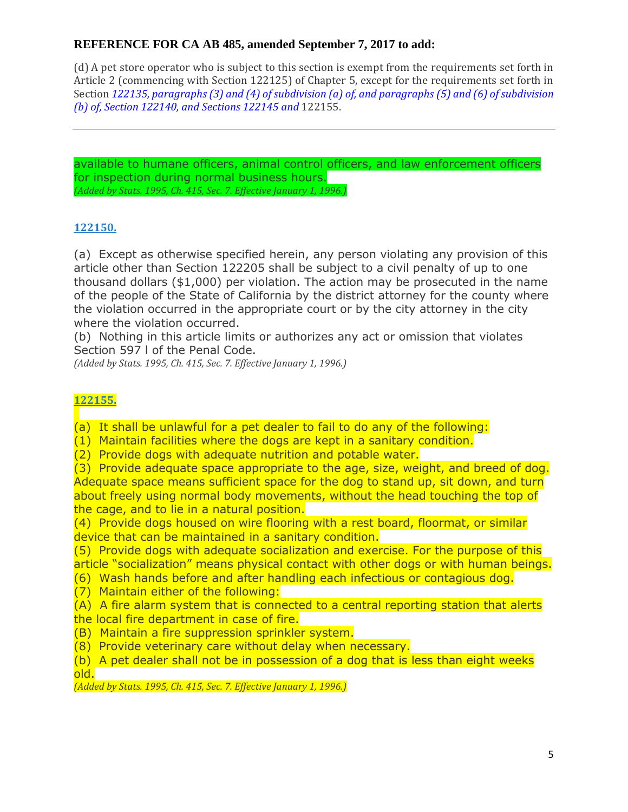(d) A pet store operator who is subject to this section is exempt from the requirements set forth in Article 2 (commencing with Section 122125) of Chapter 5, except for the requirements set forth in Section *122135, paragraphs (3) and (4) of subdivision (a) of, and paragraphs (5) and (6) of subdivision (b) of, Section 122140, and Sections 122145 and* 122155.

available to humane officers, animal control officers, and law enforcement officers for inspection during normal business hours. *(Added by Stats. 1995, Ch. 415, Sec. 7. Effective January 1, 1996.)*

### **[122150.](javascript:submitCodesValues()**

(a) Except as otherwise specified herein, any person violating any provision of this article other than Section 122205 shall be subject to a civil penalty of up to one thousand dollars (\$1,000) per violation. The action may be prosecuted in the name of the people of the State of California by the district attorney for the county where the violation occurred in the appropriate court or by the city attorney in the city where the violation occurred.

(b) Nothing in this article limits or authorizes any act or omission that violates Section 597 l of the Penal Code.

*(Added by Stats. 1995, Ch. 415, Sec. 7. Effective January 1, 1996.)*

# **[122155.](javascript:submitCodesValues()**

(a) It shall be unlawful for a pet dealer to fail to do any of the following:

(1) Maintain facilities where the dogs are kept in a sanitary condition.

(2) Provide dogs with adequate nutrition and potable water.

(3) Provide adequate space appropriate to the age, size, weight, and breed of dog. Adequate space means sufficient space for the dog to stand up, sit down, and turn about freely using normal body movements, without the head touching the top of the cage, and to lie in a natural position.

(4) Provide dogs housed on wire flooring with a rest board, floormat, or similar device that can be maintained in a sanitary condition.

(5) Provide dogs with adequate socialization and exercise. For the purpose of this article "socialization" means physical contact with other dogs or with human beings.

- (6) Wash hands before and after handling each infectious or contagious dog.
- (7) Maintain either of the following:

(A) A fire alarm system that is connected to a central reporting station that alerts

the local fire department in case of fire.

- (B) Maintain a fire suppression sprinkler system.
- (8) Provide veterinary care without delay when necessary.
- (b) A pet dealer shall not be in possession of a dog that is less than eight weeks old.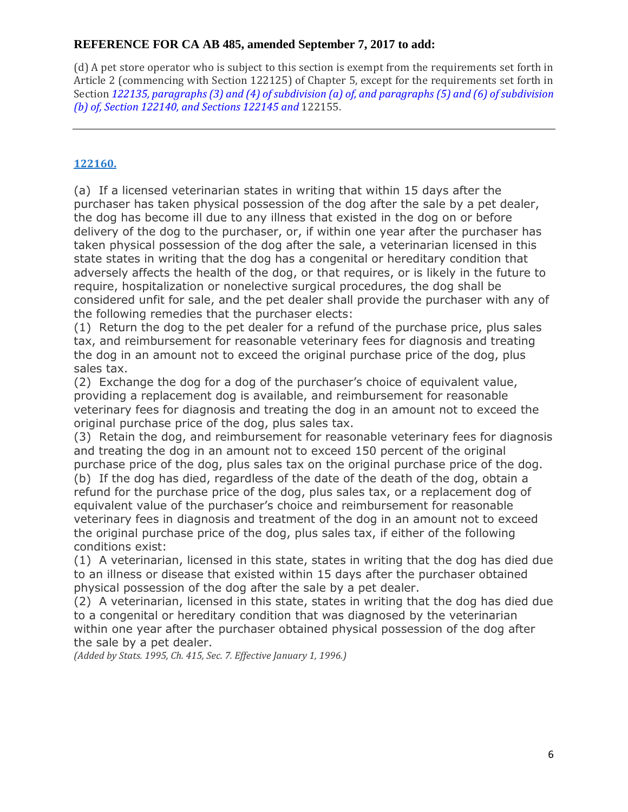(d) A pet store operator who is subject to this section is exempt from the requirements set forth in Article 2 (commencing with Section 122125) of Chapter 5, except for the requirements set forth in Section *122135, paragraphs (3) and (4) of subdivision (a) of, and paragraphs (5) and (6) of subdivision (b) of, Section 122140, and Sections 122145 and* 122155.

# **[122160.](javascript:submitCodesValues()**

(a) If a licensed veterinarian states in writing that within 15 days after the purchaser has taken physical possession of the dog after the sale by a pet dealer, the dog has become ill due to any illness that existed in the dog on or before delivery of the dog to the purchaser, or, if within one year after the purchaser has taken physical possession of the dog after the sale, a veterinarian licensed in this state states in writing that the dog has a congenital or hereditary condition that adversely affects the health of the dog, or that requires, or is likely in the future to require, hospitalization or nonelective surgical procedures, the dog shall be considered unfit for sale, and the pet dealer shall provide the purchaser with any of the following remedies that the purchaser elects:

(1) Return the dog to the pet dealer for a refund of the purchase price, plus sales tax, and reimbursement for reasonable veterinary fees for diagnosis and treating the dog in an amount not to exceed the original purchase price of the dog, plus sales tax.

(2) Exchange the dog for a dog of the purchaser's choice of equivalent value, providing a replacement dog is available, and reimbursement for reasonable veterinary fees for diagnosis and treating the dog in an amount not to exceed the original purchase price of the dog, plus sales tax.

(3) Retain the dog, and reimbursement for reasonable veterinary fees for diagnosis and treating the dog in an amount not to exceed 150 percent of the original purchase price of the dog, plus sales tax on the original purchase price of the dog.

(b) If the dog has died, regardless of the date of the death of the dog, obtain a refund for the purchase price of the dog, plus sales tax, or a replacement dog of equivalent value of the purchaser's choice and reimbursement for reasonable veterinary fees in diagnosis and treatment of the dog in an amount not to exceed the original purchase price of the dog, plus sales tax, if either of the following conditions exist:

(1) A veterinarian, licensed in this state, states in writing that the dog has died due to an illness or disease that existed within 15 days after the purchaser obtained physical possession of the dog after the sale by a pet dealer.

(2) A veterinarian, licensed in this state, states in writing that the dog has died due to a congenital or hereditary condition that was diagnosed by the veterinarian within one year after the purchaser obtained physical possession of the dog after the sale by a pet dealer.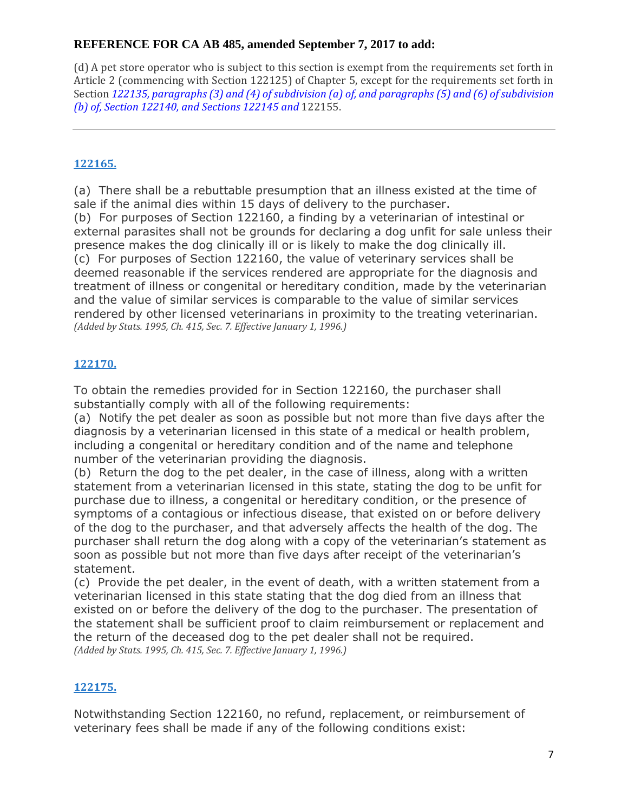(d) A pet store operator who is subject to this section is exempt from the requirements set forth in Article 2 (commencing with Section 122125) of Chapter 5, except for the requirements set forth in Section *122135, paragraphs (3) and (4) of subdivision (a) of, and paragraphs (5) and (6) of subdivision (b) of, Section 122140, and Sections 122145 and* 122155.

# **[122165.](javascript:submitCodesValues()**

(a) There shall be a rebuttable presumption that an illness existed at the time of sale if the animal dies within 15 days of delivery to the purchaser. (b) For purposes of Section 122160, a finding by a veterinarian of intestinal or external parasites shall not be grounds for declaring a dog unfit for sale unless their presence makes the dog clinically ill or is likely to make the dog clinically ill. (c) For purposes of Section 122160, the value of veterinary services shall be deemed reasonable if the services rendered are appropriate for the diagnosis and treatment of illness or congenital or hereditary condition, made by the veterinarian and the value of similar services is comparable to the value of similar services rendered by other licensed veterinarians in proximity to the treating veterinarian. *(Added by Stats. 1995, Ch. 415, Sec. 7. Effective January 1, 1996.)*

# **[122170.](javascript:submitCodesValues()**

To obtain the remedies provided for in Section 122160, the purchaser shall substantially comply with all of the following requirements:

(a) Notify the pet dealer as soon as possible but not more than five days after the diagnosis by a veterinarian licensed in this state of a medical or health problem, including a congenital or hereditary condition and of the name and telephone number of the veterinarian providing the diagnosis.

(b) Return the dog to the pet dealer, in the case of illness, along with a written statement from a veterinarian licensed in this state, stating the dog to be unfit for purchase due to illness, a congenital or hereditary condition, or the presence of symptoms of a contagious or infectious disease, that existed on or before delivery of the dog to the purchaser, and that adversely affects the health of the dog. The purchaser shall return the dog along with a copy of the veterinarian's statement as soon as possible but not more than five days after receipt of the veterinarian's statement.

(c) Provide the pet dealer, in the event of death, with a written statement from a veterinarian licensed in this state stating that the dog died from an illness that existed on or before the delivery of the dog to the purchaser. The presentation of the statement shall be sufficient proof to claim reimbursement or replacement and the return of the deceased dog to the pet dealer shall not be required. *(Added by Stats. 1995, Ch. 415, Sec. 7. Effective January 1, 1996.)*

# **[122175.](javascript:submitCodesValues()**

Notwithstanding Section 122160, no refund, replacement, or reimbursement of veterinary fees shall be made if any of the following conditions exist: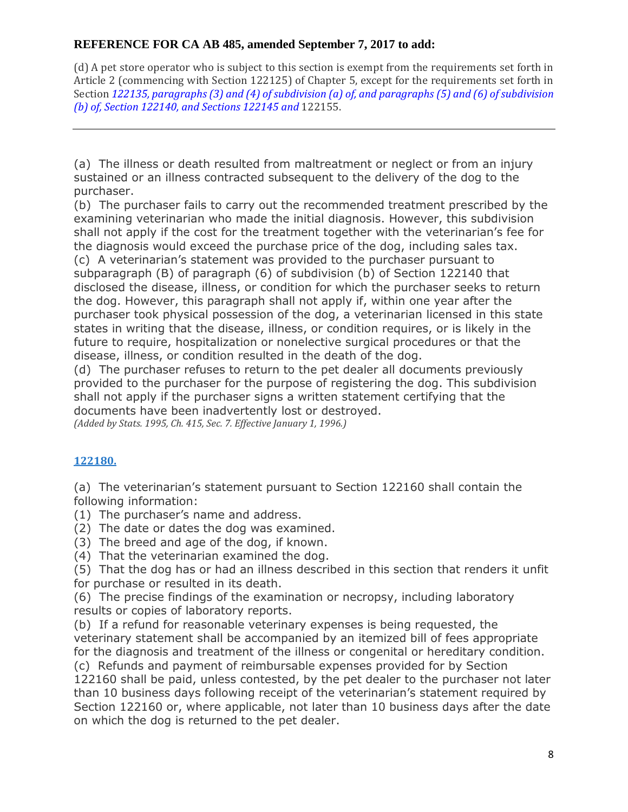(d) A pet store operator who is subject to this section is exempt from the requirements set forth in Article 2 (commencing with Section 122125) of Chapter 5, except for the requirements set forth in Section *122135, paragraphs (3) and (4) of subdivision (a) of, and paragraphs (5) and (6) of subdivision (b) of, Section 122140, and Sections 122145 and* 122155.

(a) The illness or death resulted from maltreatment or neglect or from an injury sustained or an illness contracted subsequent to the delivery of the dog to the purchaser.

(b) The purchaser fails to carry out the recommended treatment prescribed by the examining veterinarian who made the initial diagnosis. However, this subdivision shall not apply if the cost for the treatment together with the veterinarian's fee for the diagnosis would exceed the purchase price of the dog, including sales tax. (c) A veterinarian's statement was provided to the purchaser pursuant to subparagraph (B) of paragraph (6) of subdivision (b) of Section 122140 that

disclosed the disease, illness, or condition for which the purchaser seeks to return the dog. However, this paragraph shall not apply if, within one year after the purchaser took physical possession of the dog, a veterinarian licensed in this state states in writing that the disease, illness, or condition requires, or is likely in the future to require, hospitalization or nonelective surgical procedures or that the disease, illness, or condition resulted in the death of the dog.

(d) The purchaser refuses to return to the pet dealer all documents previously provided to the purchaser for the purpose of registering the dog. This subdivision shall not apply if the purchaser signs a written statement certifying that the documents have been inadvertently lost or destroyed.

*(Added by Stats. 1995, Ch. 415, Sec. 7. Effective January 1, 1996.)*

## **[122180.](javascript:submitCodesValues()**

(a) The veterinarian's statement pursuant to Section 122160 shall contain the following information:

(1) The purchaser's name and address.

(2) The date or dates the dog was examined.

- (3) The breed and age of the dog, if known.
- (4) That the veterinarian examined the dog.

(5) That the dog has or had an illness described in this section that renders it unfit for purchase or resulted in its death.

(6) The precise findings of the examination or necropsy, including laboratory results or copies of laboratory reports.

(b) If a refund for reasonable veterinary expenses is being requested, the veterinary statement shall be accompanied by an itemized bill of fees appropriate for the diagnosis and treatment of the illness or congenital or hereditary condition.

(c) Refunds and payment of reimbursable expenses provided for by Section 122160 shall be paid, unless contested, by the pet dealer to the purchaser not later than 10 business days following receipt of the veterinarian's statement required by Section 122160 or, where applicable, not later than 10 business days after the date on which the dog is returned to the pet dealer.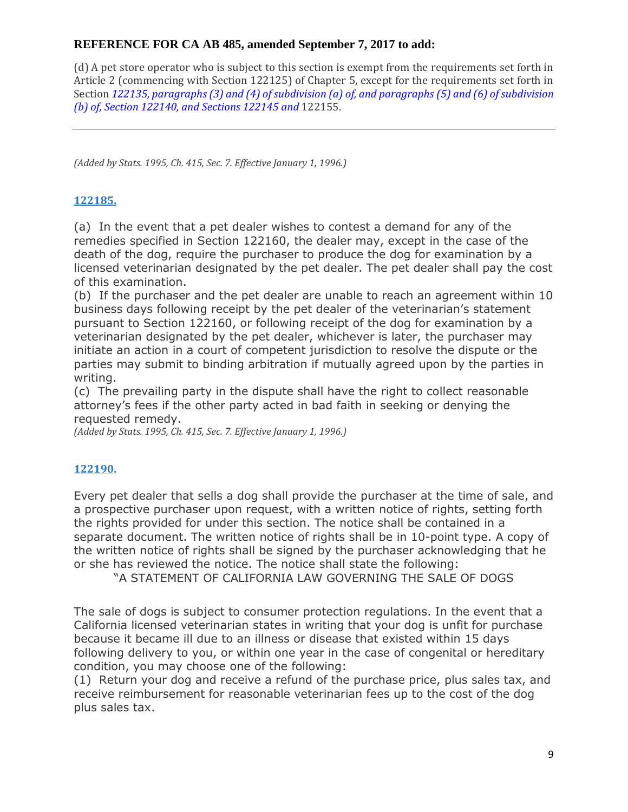(d) A pet store operator who is subject to this section is exempt from the requirements set forth in Article 2 (commencing with Section 122125) of Chapter 5, except for the requirements set forth in Section *122135, paragraphs (3) and (4) of subdivision (a) of, and paragraphs (5) and (6) of subdivision (b) of, Section 122140, and Sections 122145 and* 122155.

*(Added by Stats. 1995, Ch. 415, Sec. 7. Effective January 1, 1996.)*

### **[122185.](javascript:submitCodesValues()**

(a) In the event that a pet dealer wishes to contest a demand for any of the remedies specified in Section 122160, the dealer may, except in the case of the death of the dog, require the purchaser to produce the dog for examination by a licensed veterinarian designated by the pet dealer. The pet dealer shall pay the cost of this examination.

(b) If the purchaser and the pet dealer are unable to reach an agreement within 10 business days following receipt by the pet dealer of the veterinarian's statement pursuant to Section 122160, or following receipt of the dog for examination by a veterinarian designated by the pet dealer, whichever is later, the purchaser may initiate an action in a court of competent jurisdiction to resolve the dispute or the parties may submit to binding arbitration if mutually agreed upon by the parties in writing.

(c) The prevailing party in the dispute shall have the right to collect reasonable attorney's fees if the other party acted in bad faith in seeking or denying the requested remedy.

*(Added by Stats. 1995, Ch. 415, Sec. 7. Effective January 1, 1996.)*

### **[122190.](javascript:submitCodesValues()**

Every pet dealer that sells a dog shall provide the purchaser at the time of sale, and a prospective purchaser upon request, with a written notice of rights, setting forth the rights provided for under this section. The notice shall be contained in a separate document. The written notice of rights shall be in 10-point type. A copy of the written notice of rights shall be signed by the purchaser acknowledging that he or she has reviewed the notice. The notice shall state the following:

"A STATEMENT OF CALIFORNIA LAW GOVERNING THE SALE OF DOGS

The sale of dogs is subject to consumer protection regulations. In the event that a California licensed veterinarian states in writing that your dog is unfit for purchase because it became ill due to an illness or disease that existed within 15 days following delivery to you, or within one year in the case of congenital or hereditary condition, you may choose one of the following:

(1) Return your dog and receive a refund of the purchase price, plus sales tax, and receive reimbursement for reasonable veterinarian fees up to the cost of the dog plus sales tax.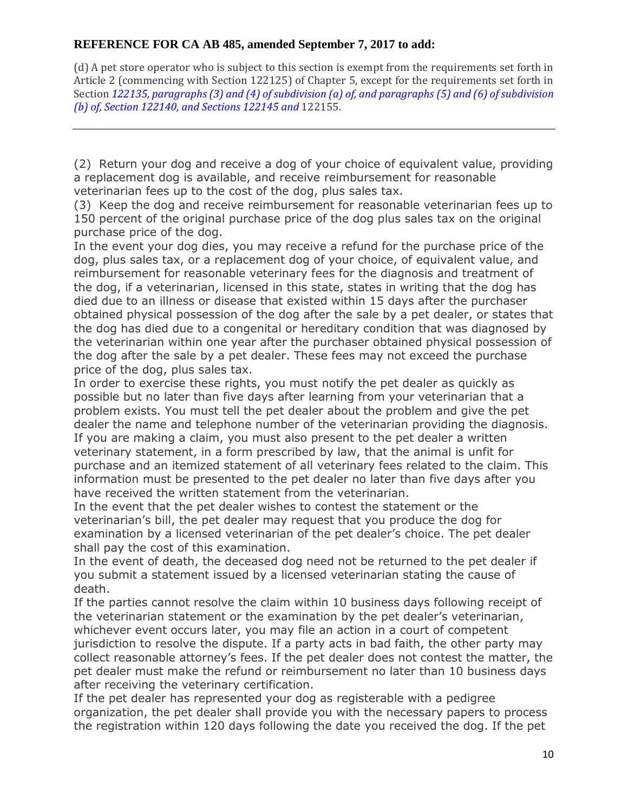(d) A pet store operator who is subject to this section is exempt from the requirements set forth in Article 2 (commencing with Section 122125) of Chapter 5, except for the requirements set forth in Section *122135, paragraphs (3) and (4) of subdivision (a) of, and paragraphs (5) and (6) of subdivision (b) of, Section 122140, and Sections 122145 and* 122155.

(2) Return your dog and receive a dog of your choice of equivalent value, providing a replacement dog is available, and receive reimbursement for reasonable veterinarian fees up to the cost of the dog, plus sales tax.

(3) Keep the dog and receive reimbursement for reasonable veterinarian fees up to 150 percent of the original purchase price of the dog plus sales tax on the original purchase price of the dog.

In the event your dog dies, you may receive a refund for the purchase price of the dog, plus sales tax, or a replacement dog of your choice, of equivalent value, and reimbursement for reasonable veterinary fees for the diagnosis and treatment of the dog, if a veterinarian, licensed in this state, states in writing that the dog has died due to an illness or disease that existed within 15 days after the purchaser obtained physical possession of the dog after the sale by a pet dealer, or states that the dog has died due to a congenital or hereditary condition that was diagnosed by the veterinarian within one year after the purchaser obtained physical possession of the dog after the sale by a pet dealer. These fees may not exceed the purchase price of the dog, plus sales tax.

In order to exercise these rights, you must notify the pet dealer as quickly as possible but no later than five days after learning from your veterinarian that a problem exists. You must tell the pet dealer about the problem and give the pet dealer the name and telephone number of the veterinarian providing the diagnosis. If you are making a claim, you must also present to the pet dealer a written veterinary statement, in a form prescribed by law, that the animal is unfit for purchase and an itemized statement of all veterinary fees related to the claim. This information must be presented to the pet dealer no later than five days after you have received the written statement from the veterinarian.

In the event that the pet dealer wishes to contest the statement or the veterinarian's bill, the pet dealer may request that you produce the dog for examination by a licensed veterinarian of the pet dealer's choice. The pet dealer shall pay the cost of this examination.

In the event of death, the deceased dog need not be returned to the pet dealer if you submit a statement issued by a licensed veterinarian stating the cause of death.

If the parties cannot resolve the claim within 10 business days following receipt of the veterinarian statement or the examination by the pet dealer's veterinarian, whichever event occurs later, you may file an action in a court of competent jurisdiction to resolve the dispute. If a party acts in bad faith, the other party may collect reasonable attorney's fees. If the pet dealer does not contest the matter, the pet dealer must make the refund or reimbursement no later than 10 business days after receiving the veterinary certification.

If the pet dealer has represented your dog as registerable with a pedigree organization, the pet dealer shall provide you with the necessary papers to process the registration within 120 days following the date you received the dog. If the pet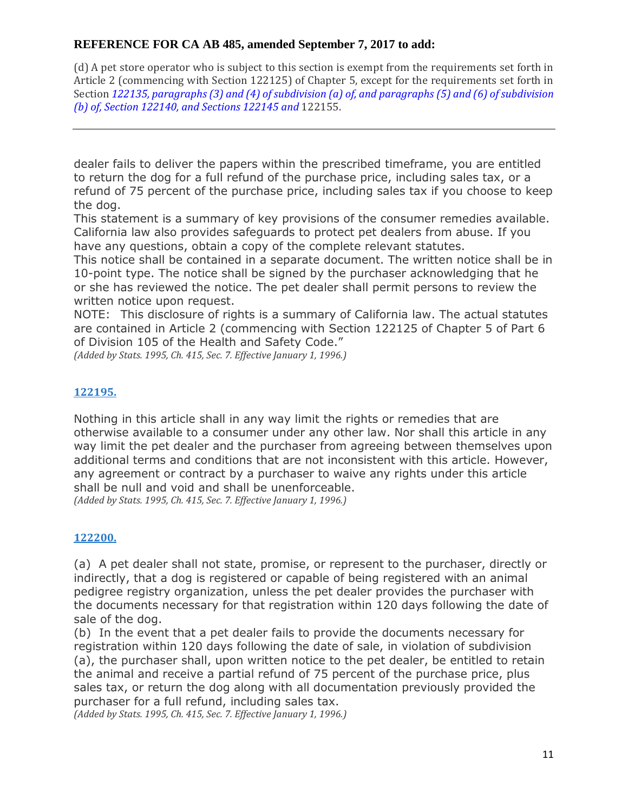(d) A pet store operator who is subject to this section is exempt from the requirements set forth in Article 2 (commencing with Section 122125) of Chapter 5, except for the requirements set forth in Section *122135, paragraphs (3) and (4) of subdivision (a) of, and paragraphs (5) and (6) of subdivision (b) of, Section 122140, and Sections 122145 and* 122155.

dealer fails to deliver the papers within the prescribed timeframe, you are entitled to return the dog for a full refund of the purchase price, including sales tax, or a refund of 75 percent of the purchase price, including sales tax if you choose to keep the dog.

This statement is a summary of key provisions of the consumer remedies available. California law also provides safeguards to protect pet dealers from abuse. If you have any questions, obtain a copy of the complete relevant statutes.

This notice shall be contained in a separate document. The written notice shall be in 10-point type. The notice shall be signed by the purchaser acknowledging that he or she has reviewed the notice. The pet dealer shall permit persons to review the written notice upon request.

NOTE: This disclosure of rights is a summary of California law. The actual statutes are contained in Article 2 (commencing with Section 122125 of Chapter 5 of Part 6 of Division 105 of the Health and Safety Code."

*(Added by Stats. 1995, Ch. 415, Sec. 7. Effective January 1, 1996.)*

### **[122195.](javascript:submitCodesValues()**

Nothing in this article shall in any way limit the rights or remedies that are otherwise available to a consumer under any other law. Nor shall this article in any way limit the pet dealer and the purchaser from agreeing between themselves upon additional terms and conditions that are not inconsistent with this article. However, any agreement or contract by a purchaser to waive any rights under this article shall be null and void and shall be unenforceable.

*(Added by Stats. 1995, Ch. 415, Sec. 7. Effective January 1, 1996.)*

### **[122200.](javascript:submitCodesValues()**

(a) A pet dealer shall not state, promise, or represent to the purchaser, directly or indirectly, that a dog is registered or capable of being registered with an animal pedigree registry organization, unless the pet dealer provides the purchaser with the documents necessary for that registration within 120 days following the date of sale of the dog.

(b) In the event that a pet dealer fails to provide the documents necessary for registration within 120 days following the date of sale, in violation of subdivision (a), the purchaser shall, upon written notice to the pet dealer, be entitled to retain the animal and receive a partial refund of 75 percent of the purchase price, plus sales tax, or return the dog along with all documentation previously provided the purchaser for a full refund, including sales tax.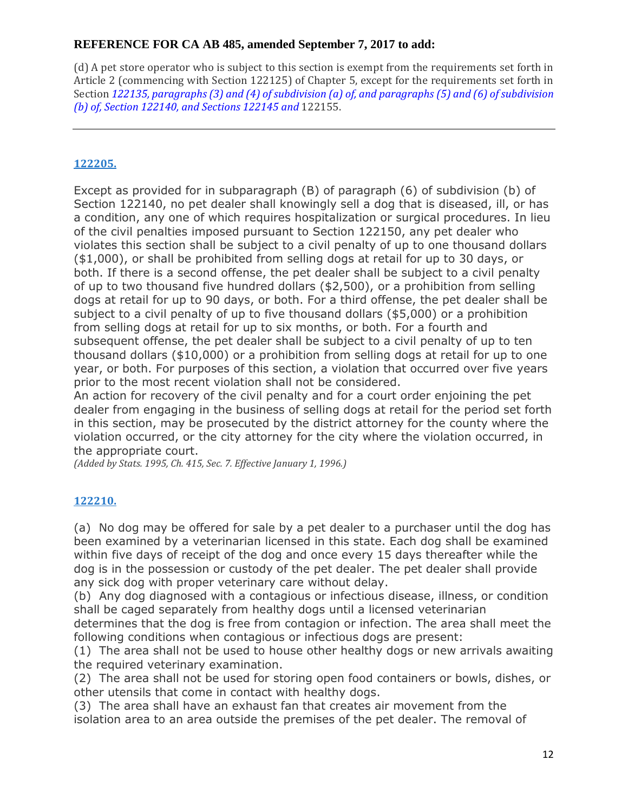(d) A pet store operator who is subject to this section is exempt from the requirements set forth in Article 2 (commencing with Section 122125) of Chapter 5, except for the requirements set forth in Section *122135, paragraphs (3) and (4) of subdivision (a) of, and paragraphs (5) and (6) of subdivision (b) of, Section 122140, and Sections 122145 and* 122155.

# **[122205.](javascript:submitCodesValues()**

Except as provided for in subparagraph (B) of paragraph (6) of subdivision (b) of Section 122140, no pet dealer shall knowingly sell a dog that is diseased, ill, or has a condition, any one of which requires hospitalization or surgical procedures. In lieu of the civil penalties imposed pursuant to Section 122150, any pet dealer who violates this section shall be subject to a civil penalty of up to one thousand dollars (\$1,000), or shall be prohibited from selling dogs at retail for up to 30 days, or both. If there is a second offense, the pet dealer shall be subject to a civil penalty of up to two thousand five hundred dollars (\$2,500), or a prohibition from selling dogs at retail for up to 90 days, or both. For a third offense, the pet dealer shall be subject to a civil penalty of up to five thousand dollars (\$5,000) or a prohibition from selling dogs at retail for up to six months, or both. For a fourth and subsequent offense, the pet dealer shall be subject to a civil penalty of up to ten thousand dollars (\$10,000) or a prohibition from selling dogs at retail for up to one year, or both. For purposes of this section, a violation that occurred over five years prior to the most recent violation shall not be considered.

An action for recovery of the civil penalty and for a court order enjoining the pet dealer from engaging in the business of selling dogs at retail for the period set forth in this section, may be prosecuted by the district attorney for the county where the violation occurred, or the city attorney for the city where the violation occurred, in the appropriate court.

*(Added by Stats. 1995, Ch. 415, Sec. 7. Effective January 1, 1996.)*

## **[122210.](javascript:submitCodesValues()**

(a) No dog may be offered for sale by a pet dealer to a purchaser until the dog has been examined by a veterinarian licensed in this state. Each dog shall be examined within five days of receipt of the dog and once every 15 days thereafter while the dog is in the possession or custody of the pet dealer. The pet dealer shall provide any sick dog with proper veterinary care without delay.

(b) Any dog diagnosed with a contagious or infectious disease, illness, or condition shall be caged separately from healthy dogs until a licensed veterinarian

determines that the dog is free from contagion or infection. The area shall meet the following conditions when contagious or infectious dogs are present:

(1) The area shall not be used to house other healthy dogs or new arrivals awaiting the required veterinary examination.

(2) The area shall not be used for storing open food containers or bowls, dishes, or other utensils that come in contact with healthy dogs.

(3) The area shall have an exhaust fan that creates air movement from the isolation area to an area outside the premises of the pet dealer. The removal of